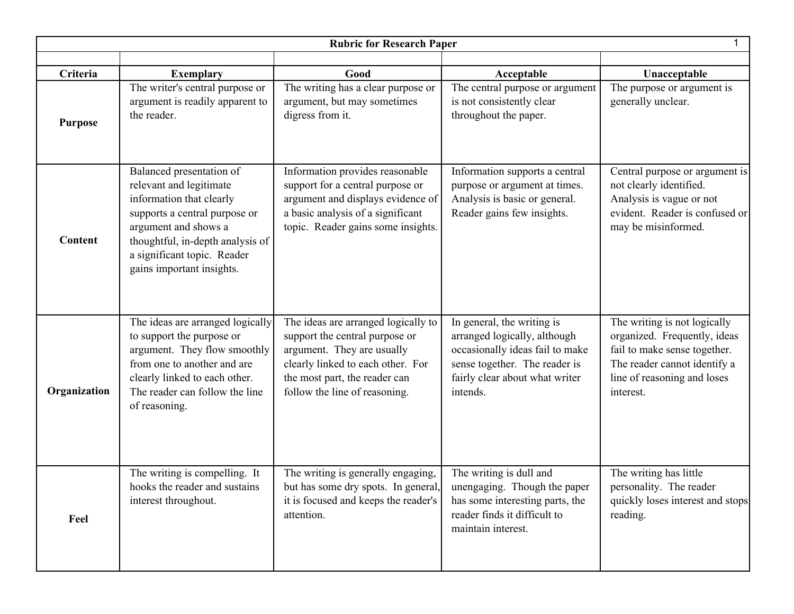| <b>Rubric for Research Paper</b> |                                                                                                                                                                                                                                          |                                                                                                                                                                                                            |                                                                                                                                                                              |                                                                                                                                                                          |  |  |  |
|----------------------------------|------------------------------------------------------------------------------------------------------------------------------------------------------------------------------------------------------------------------------------------|------------------------------------------------------------------------------------------------------------------------------------------------------------------------------------------------------------|------------------------------------------------------------------------------------------------------------------------------------------------------------------------------|--------------------------------------------------------------------------------------------------------------------------------------------------------------------------|--|--|--|
|                                  |                                                                                                                                                                                                                                          |                                                                                                                                                                                                            |                                                                                                                                                                              |                                                                                                                                                                          |  |  |  |
| Criteria<br><b>Purpose</b>       | <b>Exemplary</b><br>The writer's central purpose or<br>argument is readily apparent to<br>the reader.                                                                                                                                    | Good<br>The writing has a clear purpose or<br>argument, but may sometimes<br>digress from it.                                                                                                              | Acceptable<br>The central purpose or argument<br>is not consistently clear<br>throughout the paper.                                                                          | Unacceptable<br>The purpose or argument is<br>generally unclear.                                                                                                         |  |  |  |
| <b>Content</b>                   | Balanced presentation of<br>relevant and legitimate<br>information that clearly<br>supports a central purpose or<br>argument and shows a<br>thoughtful, in-depth analysis of<br>a significant topic. Reader<br>gains important insights. | Information provides reasonable<br>support for a central purpose or<br>argument and displays evidence of<br>a basic analysis of a significant<br>topic. Reader gains some insights.                        | Information supports a central<br>purpose or argument at times.<br>Analysis is basic or general.<br>Reader gains few insights.                                               | Central purpose or argument is<br>not clearly identified.<br>Analysis is vague or not<br>evident. Reader is confused or<br>may be misinformed.                           |  |  |  |
| Organization                     | The ideas are arranged logically<br>to support the purpose or<br>argument. They flow smoothly<br>from one to another and are<br>clearly linked to each other.<br>The reader can follow the line<br>of reasoning.                         | The ideas are arranged logically to<br>support the central purpose or<br>argument. They are usually<br>clearly linked to each other. For<br>the most part, the reader can<br>follow the line of reasoning. | In general, the writing is<br>arranged logically, although<br>occasionally ideas fail to make<br>sense together. The reader is<br>fairly clear about what writer<br>intends. | The writing is not logically<br>organized. Frequently, ideas<br>fail to make sense together.<br>The reader cannot identify a<br>line of reasoning and loses<br>interest. |  |  |  |
| Feel                             | The writing is compelling. It<br>hooks the reader and sustains<br>interest throughout.                                                                                                                                                   | The writing is generally engaging,<br>but has some dry spots. In general,<br>it is focused and keeps the reader's<br>attention.                                                                            | The writing is dull and<br>unengaging. Though the paper<br>has some interesting parts, the<br>reader finds it difficult to<br>maintain interest.                             | The writing has little<br>personality. The reader<br>quickly loses interest and stops<br>reading.                                                                        |  |  |  |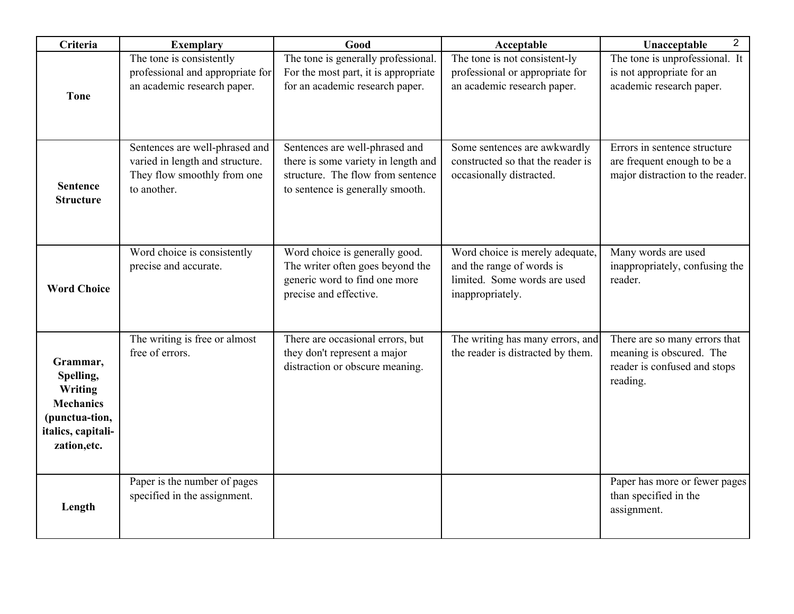| Criteria                                                                                                     | <b>Exemplary</b>                                                                                                | Good                                                                                                                                           | Acceptable                                                                                                       | $\overline{2}$<br>Unacceptable                                                                        |
|--------------------------------------------------------------------------------------------------------------|-----------------------------------------------------------------------------------------------------------------|------------------------------------------------------------------------------------------------------------------------------------------------|------------------------------------------------------------------------------------------------------------------|-------------------------------------------------------------------------------------------------------|
| <b>Tone</b>                                                                                                  | The tone is consistently<br>professional and appropriate for<br>an academic research paper.                     | The tone is generally professional.<br>For the most part, it is appropriate<br>for an academic research paper.                                 | The tone is not consistent-ly<br>professional or appropriate for<br>an academic research paper.                  | The tone is unprofessional. It<br>is not appropriate for an<br>academic research paper.               |
| <b>Sentence</b><br><b>Structure</b>                                                                          | Sentences are well-phrased and<br>varied in length and structure.<br>They flow smoothly from one<br>to another. | Sentences are well-phrased and<br>there is some variety in length and<br>structure. The flow from sentence<br>to sentence is generally smooth. | Some sentences are awkwardly<br>constructed so that the reader is<br>occasionally distracted.                    | Errors in sentence structure<br>are frequent enough to be a<br>major distraction to the reader.       |
| <b>Word Choice</b>                                                                                           | Word choice is consistently<br>precise and accurate.                                                            | Word choice is generally good.<br>The writer often goes beyond the<br>generic word to find one more<br>precise and effective.                  | Word choice is merely adequate,<br>and the range of words is<br>limited. Some words are used<br>inappropriately. | Many words are used<br>inappropriately, confusing the<br>reader.                                      |
| Grammar,<br>Spelling,<br>Writing<br><b>Mechanics</b><br>(punctua-tion,<br>italics, capitali-<br>zation, etc. | The writing is free or almost<br>free of errors.                                                                | There are occasional errors, but<br>they don't represent a major<br>distraction or obscure meaning.                                            | The writing has many errors, and<br>the reader is distracted by them.                                            | There are so many errors that<br>meaning is obscured. The<br>reader is confused and stops<br>reading. |
| Length                                                                                                       | Paper is the number of pages<br>specified in the assignment.                                                    |                                                                                                                                                |                                                                                                                  | Paper has more or fewer pages<br>than specified in the<br>assignment.                                 |